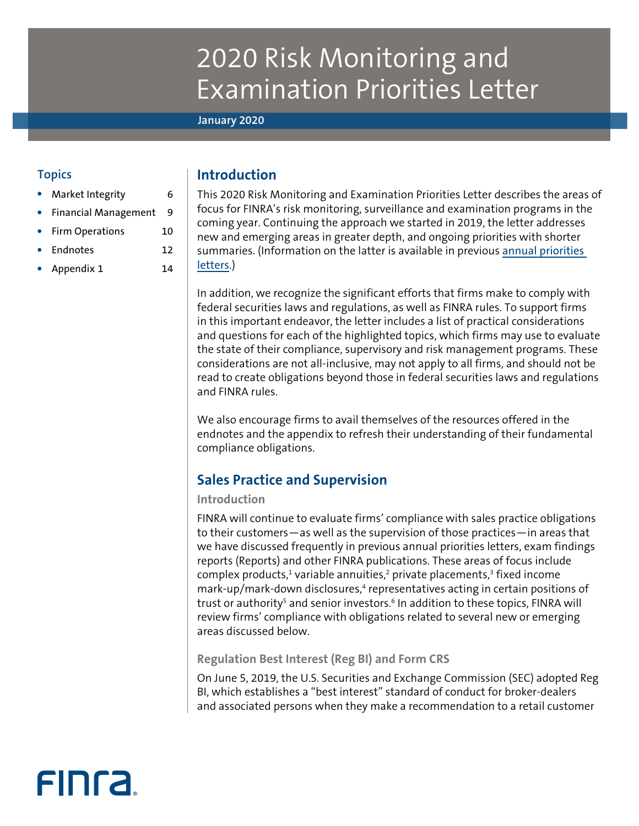# 2020 Risk Monitoring and Examination Priorities Letter

# **January 2020**

# **Topics**

- [Market Integrity](#page-5-0) 6
- [Financial Management](#page-8-0) 9
- [Firm Operations](#page-9-0) 10
- [Endnotes](#page-11-0) 12
- [Appendix 1](#page-13-0) 14

# **Introduction**

This 2020 Risk Monitoring and Examination Priorities Letter describes the areas of focus for FINRA's risk monitoring, surveillance and examination programs in the coming year. Continuing the approach we started in 2019, the letter addresses new and emerging areas in greater depth, and ongoing priorities with shorter summaries. (Information on the latter is available in previous [annual priorities](http://www.finra.org/industry/annual-regulatory-and-examination-priorities-letters)  [letters](http://www.finra.org/industry/annual-regulatory-and-examination-priorities-letters).)

In addition, we recognize the significant efforts that firms make to comply with federal securities laws and regulations, as well as FINRA rules. To support firms in this important endeavor, the letter includes a list of practical considerations and questions for each of the highlighted topics, which firms may use to evaluate the state of their compliance, supervisory and risk management programs. These considerations are not all-inclusive, may not apply to all firms, and should not be read to create obligations beyond those in federal securities laws and regulations and FINRA rules.

We also encourage firms to avail themselves of the resources offered in the endnotes and the appendix to refresh their understanding of their fundamental compliance obligations.

# **Sales Practice and Supervision**

# **Introduction**

FINRA will continue to evaluate firms' compliance with sales practice obligations to their customers—as well as the supervision of those practices—in areas that we have discussed frequently in previous annual priorities letters, exam findings reports (Reports) and other FINRA publications. These areas of focus include complex products,<sup>1</sup> variable annuities,<sup>2</sup> private placements,<sup>3</sup> fixed income mark-up/mark-down disclosures,<sup>4</sup> representatives acting in certain positions of trust or authority<sup>s</sup> and senior investors.<sup>6</sup> In addition to these topics, FINRA will review firms' compliance with obligations related to several new or emerging areas discussed below.

**Regulation Best Interest (Reg BI) and Form CRS**

On June 5, 2019, the U.S. Securities and Exchange Commission (SEC) adopted Reg BI, which establishes a "best interest" standard of conduct for broker-dealers and associated persons when they make a recommendation to a retail customer

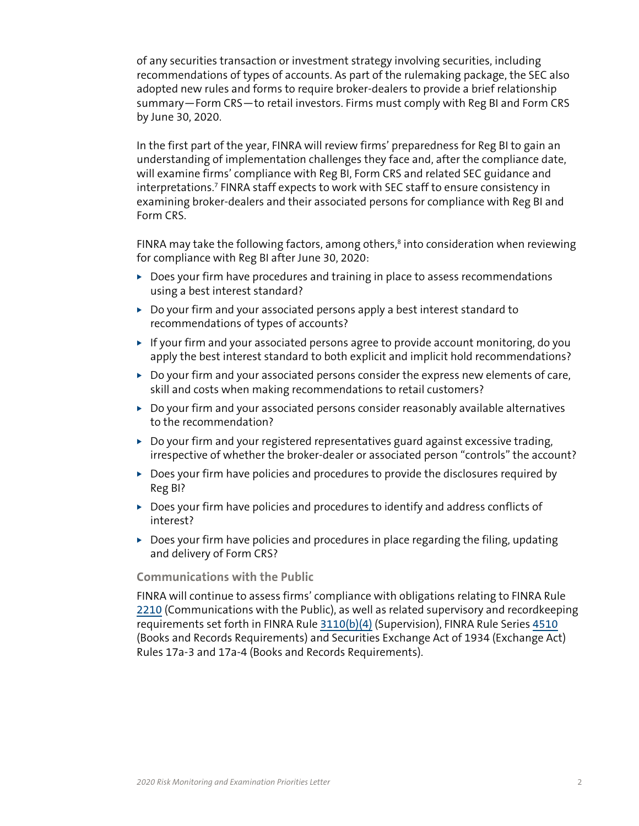of any securities transaction or investment strategy involving securities, including recommendations of types of accounts. As part of the rulemaking package, the SEC also adopted new rules and forms to require broker-dealers to provide a brief relationship summary—Form CRS—to retail investors. Firms must comply with Reg BI and Form CRS by June 30, 2020.

In the first part of the year, FINRA will review firms' preparedness for Reg BI to gain an understanding of implementation challenges they face and, after the compliance date, will examine firms' compliance with Reg BI, Form CRS and related SEC guidance and interpretations.7 FINRA staff expects to work with SEC staff to ensure consistency in examining broker-dealers and their associated persons for compliance with Reg BI and Form CRS.

FINRA may take the following factors, among others, $\delta$  into consideration when reviewing for compliance with Reg BI after June 30, 2020:

- $\triangleright$  Does your firm have procedures and training in place to assess recommendations using a best interest standard?
- $\triangleright$  Do your firm and your associated persons apply a best interest standard to recommendations of types of accounts?
- $\triangleright$  If your firm and your associated persons agree to provide account monitoring, do you apply the best interest standard to both explicit and implicit hold recommendations?
- $\triangleright$  Do your firm and your associated persons consider the express new elements of care, skill and costs when making recommendations to retail customers?
- $\triangleright$  Do your firm and your associated persons consider reasonably available alternatives to the recommendation?
- $\triangleright$  Do your firm and your registered representatives guard against excessive trading, irrespective of whether the broker-dealer or associated person "controls" the account?
- $\triangleright$  Does your firm have policies and procedures to provide the disclosures required by Reg BI?
- $\triangleright$  Does your firm have policies and procedures to identify and address conflicts of interest?
- $\triangleright$  Does your firm have policies and procedures in place regarding the filing, updating and delivery of Form CRS?

# **Communications with the Public**

FINRA will continue to assess firms' compliance with obligations relating to FINRA Rule [2210](https://www.finra.org/rules-guidance/rulebooks/finra-rules/2210) (Communications with the Public), as well as related supervisory and recordkeeping requirements set forth in FINRA Rule [3110\(b\)\(4\)](https://www.finra.org/rules-guidance/rulebooks/finra-rules/3110) (Supervision), FINRA Rule Series [4510](https://www.finra.org/rules-guidance/rulebooks/finra-rules/4510) (Books and Records Requirements) and Securities Exchange Act of 1934 (Exchange Act) Rules 17a-3 and 17a-4 (Books and Records Requirements).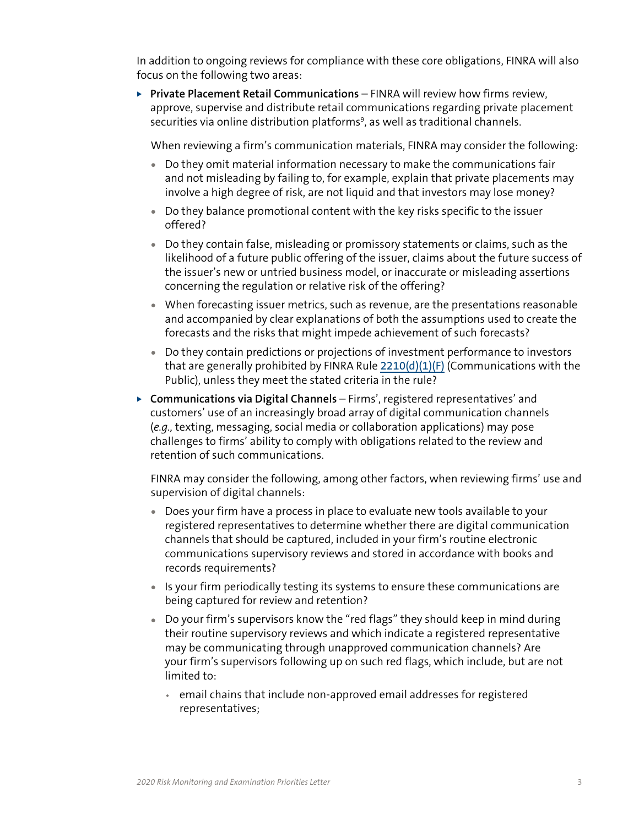In addition to ongoing reviews for compliance with these core obligations, FINRA will also focus on the following two areas:

▶ **Private Placement Retail Communications** – FINRA will review how firms review, approve, supervise and distribute retail communications regarding private placement securities via online distribution platforms<sup>9</sup>, as well as traditional channels.

When reviewing a firm's communication materials, FINRA may consider the following:

- Do they omit material information necessary to make the communications fair and not misleading by failing to, for example, explain that private placements may involve a high degree of risk, are not liquid and that investors may lose money?
- Do they balance promotional content with the key risks specific to the issuer offered?
- Do they contain false, misleading or promissory statements or claims, such as the likelihood of a future public offering of the issuer, claims about the future success of the issuer's new or untried business model, or inaccurate or misleading assertions concerning the regulation or relative risk of the offering?
- When forecasting issuer metrics, such as revenue, are the presentations reasonable and accompanied by clear explanations of both the assumptions used to create the forecasts and the risks that might impede achievement of such forecasts?
- Do they contain predictions or projections of investment performance to investors that are generally prohibited by FINRA Rule  $2210(d)(1)$ (F) (Communications with the Public), unless they meet the stated criteria in the rule?
- ▶ **Communications via Digital Channels** Firms', registered representatives' and customers' use of an increasingly broad array of digital communication channels (*e.g.,* texting, messaging, social media or collaboration applications) may pose challenges to firms' ability to comply with obligations related to the review and retention of such communications.

FINRA may consider the following, among other factors, when reviewing firms' use and supervision of digital channels:

- Does your firm have a process in place to evaluate new tools available to your registered representatives to determine whether there are digital communication channels that should be captured, included in your firm's routine electronic communications supervisory reviews and stored in accordance with books and records requirements?
- Is your firm periodically testing its systems to ensure these communications are being captured for review and retention?
- Do your firm's supervisors know the "red flags" they should keep in mind during their routine supervisory reviews and which indicate a registered representative may be communicating through unapproved communication channels? Are your firm's supervisors following up on such red flags, which include, but are not limited to:
	- ◆ email chains that include non-approved email addresses for registered representatives;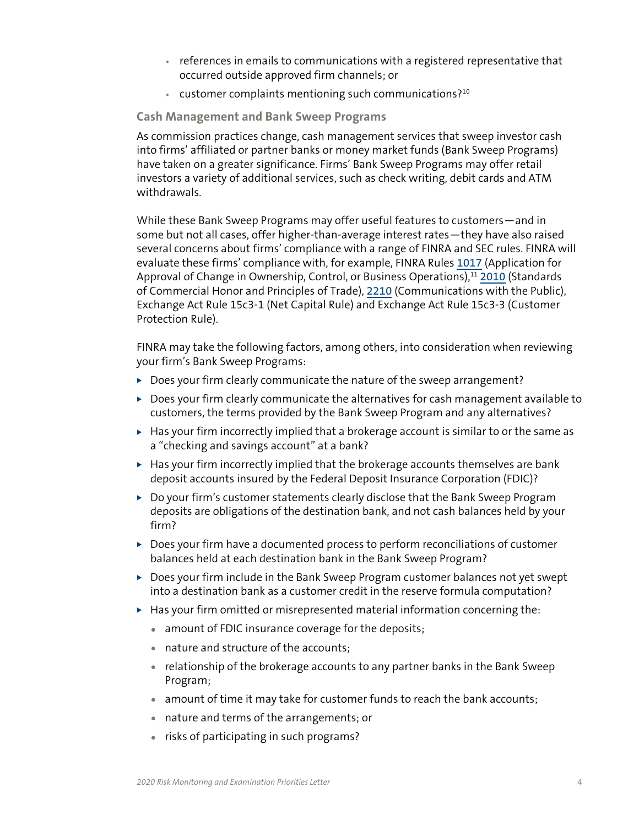- ◆ references in emails to communications with a registered representative that occurred outside approved firm channels; or
- $\cdot$  customer complaints mentioning such communications?<sup>10</sup>

# **Cash Management and Bank Sweep Programs**

As commission practices change, cash management services that sweep investor cash into firms' affiliated or partner banks or money market funds (Bank Sweep Programs) have taken on a greater significance. Firms' Bank Sweep Programs may offer retail investors a variety of additional services, such as check writing, debit cards and ATM withdrawals.

While these Bank Sweep Programs may offer useful features to customers—and in some but not all cases, offer higher-than-average interest rates—they have also raised several concerns about firms' compliance with a range of FINRA and SEC rules. FINRA will evaluate these firms' compliance with, for example, FINRA Rules [1017](https://www.finra.org/rules-guidance/rulebooks/finra-rules/1017) (Application for Approval of Change in Ownership, Control, or Business Operations),<sup>11</sup> [2010](https://www.finra.org/rules-guidance/rulebooks/finra-rules/2010) (Standards of Commercial Honor and Principles of Trade), [2210](https://www.finra.org/rules-guidance/rulebooks/finra-rules/2210) (Communications with the Public), Exchange Act Rule 15c3-1 (Net Capital Rule) and Exchange Act Rule 15c3-3 (Customer Protection Rule).

FINRA may take the following factors, among others, into consideration when reviewing your firm's Bank Sweep Programs:

- $\triangleright$  Does your firm clearly communicate the nature of the sweep arrangement?
- $\triangleright$  Does your firm clearly communicate the alternatives for cash management available to customers, the terms provided by the Bank Sweep Program and any alternatives?
- $\blacktriangleright$  Has your firm incorrectly implied that a brokerage account is similar to or the same as a "checking and savings account" at a bank?
- $\blacktriangleright$  Has your firm incorrectly implied that the brokerage accounts themselves are bank deposit accounts insured by the Federal Deposit Insurance Corporation (FDIC)?
- $\triangleright$  Do your firm's customer statements clearly disclose that the Bank Sweep Program deposits are obligations of the destination bank, and not cash balances held by your firm?
- $\triangleright$  Does your firm have a documented process to perform reconciliations of customer balances held at each destination bank in the Bank Sweep Program?
- $\triangleright$  Does your firm include in the Bank Sweep Program customer balances not yet swept into a destination bank as a customer credit in the reserve formula computation?
- $\blacktriangleright$  Has your firm omitted or misrepresented material information concerning the:
	- amount of FDIC insurance coverage for the deposits;
	- nature and structure of the accounts;
	- relationship of the brokerage accounts to any partner banks in the Bank Sweep Program;
	- amount of time it may take for customer funds to reach the bank accounts;
	- nature and terms of the arrangements; or
	- risks of participating in such programs?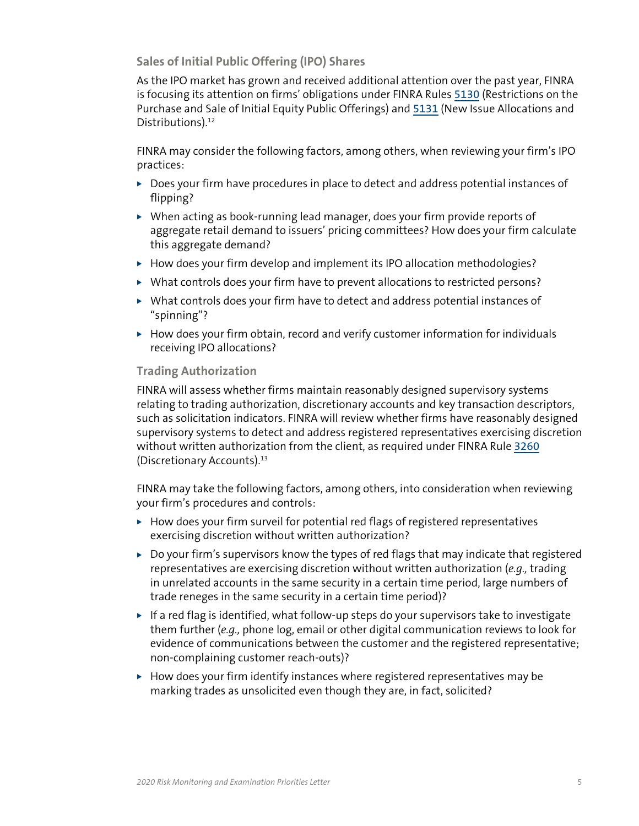**Sales of Initial Public Offering (IPO) Shares**

As the IPO market has grown and received additional attention over the past year, FINRA is focusing its attention on firms' obligations under FINRA Rules [5130](https://www.finra.org/rules-guidance/rulebooks/finra-rules/5130) (Restrictions on the Purchase and Sale of Initial Equity Public Offerings) and [5131](https://www.finra.org/rules-guidance/rulebooks/finra-rules/5131) (New Issue Allocations and Distributions).<sup>12</sup>

FINRA may consider the following factors, among others, when reviewing your firm's IPO practices:

- $\triangleright$  Does your firm have procedures in place to detect and address potential instances of flipping?
- $\triangleright$  When acting as book-running lead manager, does your firm provide reports of aggregate retail demand to issuers' pricing committees? How does your firm calculate this aggregate demand?
- $\blacktriangleright$  How does your firm develop and implement its IPO allocation methodologies?
- $\triangleright$  What controls does your firm have to prevent allocations to restricted persons?
- $\triangleright$  What controls does your firm have to detect and address potential instances of "spinning"?
- $\blacktriangleright$  How does your firm obtain, record and verify customer information for individuals receiving IPO allocations?

# **Trading Authorization**

FINRA will assess whether firms maintain reasonably designed supervisory systems relating to trading authorization, discretionary accounts and key transaction descriptors, such as solicitation indicators. FINRA will review whether firms have reasonably designed supervisory systems to detect and address registered representatives exercising discretion without written authorization from the client, as required under FINRA Rule [3260](https://www.finra.org/rules-guidance/rulebooks/finra-rules/3260) (Discretionary Accounts).13

FINRA may take the following factors, among others, into consideration when reviewing your firm's procedures and controls:

- $\blacktriangleright$  How does your firm surveil for potential red flags of registered representatives exercising discretion without written authorization?
- $\triangleright$  Do your firm's supervisors know the types of red flags that may indicate that registered representatives are exercising discretion without written authorization (*e.g.,* trading in unrelated accounts in the same security in a certain time period, large numbers of trade reneges in the same security in a certain time period)?
- $\blacktriangleright$  If a red flag is identified, what follow-up steps do your supervisors take to investigate them further (*e.g.,* phone log, email or other digital communication reviews to look for evidence of communications between the customer and the registered representative; non-complaining customer reach-outs)?
- $\blacktriangleright$  How does your firm identify instances where registered representatives may be marking trades as unsolicited even though they are, in fact, solicited?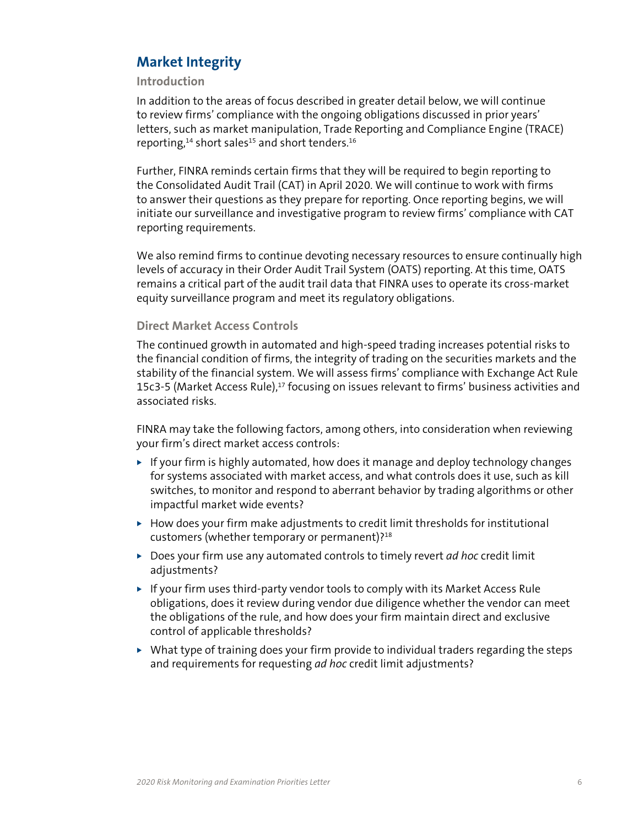# <span id="page-5-0"></span>**Market Integrity**

# **Introduction**

In addition to the areas of focus described in greater detail below, we will continue to review firms' compliance with the ongoing obligations discussed in prior years' letters, such as market manipulation, Trade Reporting and Compliance Engine (TRACE) reporting,<sup>14</sup> short sales<sup>15</sup> and short tenders.<sup>16</sup>

Further, FINRA reminds certain firms that they will be required to begin reporting to the Consolidated Audit Trail (CAT) in April 2020. We will continue to work with firms to answer their questions as they prepare for reporting. Once reporting begins, we will initiate our surveillance and investigative program to review firms' compliance with CAT reporting requirements.

We also remind firms to continue devoting necessary resources to ensure continually high levels of accuracy in their Order Audit Trail System (OATS) reporting. At this time, OATS remains a critical part of the audit trail data that FINRA uses to operate its cross-market equity surveillance program and meet its regulatory obligations.

# **Direct Market Access Controls**

The continued growth in automated and high-speed trading increases potential risks to the financial condition of firms, the integrity of trading on the securities markets and the stability of the financial system. We will assess firms' compliance with Exchange Act Rule 15c3-5 (Market Access Rule),<sup>17</sup> focusing on issues relevant to firms' business activities and associated risks.

FINRA may take the following factors, among others, into consideration when reviewing your firm's direct market access controls:

- $\triangleright$  If your firm is highly automated, how does it manage and deploy technology changes for systems associated with market access, and what controls does it use, such as kill switches, to monitor and respond to aberrant behavior by trading algorithms or other impactful market wide events?
- $\blacktriangleright$  How does your firm make adjustments to credit limit thresholds for institutional customers (whether temporary or permanent)?18
- ▶ Does your firm use any automated controls to timely revert *ad hoc* credit limit adjustments?
- $\triangleright$  If your firm uses third-party vendor tools to comply with its Market Access Rule obligations, does it review during vendor due diligence whether the vendor can meet the obligations of the rule, and how does your firm maintain direct and exclusive control of applicable thresholds?
- $\triangleright$  What type of training does your firm provide to individual traders regarding the steps and requirements for requesting *ad hoc* credit limit adjustments?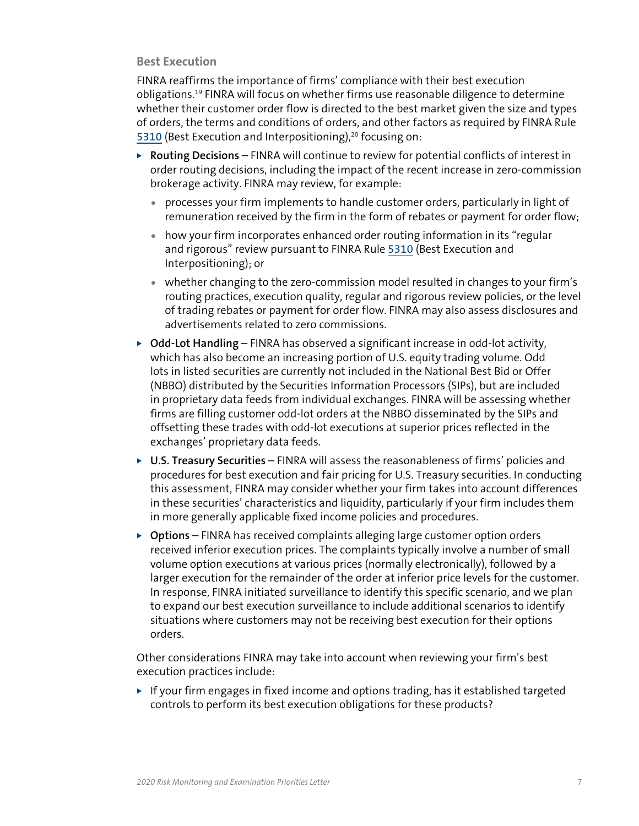# **Best Execution**

FINRA reaffirms the importance of firms' compliance with their best execution obligations.19 FINRA will focus on whether firms use reasonable diligence to determine whether their customer order flow is directed to the best market given the size and types of orders, the terms and conditions of orders, and other factors as required by FINRA Rule [5310](https://www.finra.org/rules-guidance/rulebooks/finra-rules/5310) (Best Execution and Interpositioning), $20$  focusing on:

- ▶ **Routing Decisions** FINRA will continue to review for potential conflicts of interest in order routing decisions, including the impact of the recent increase in zero-commission brokerage activity. FINRA may review, for example:
	- processes your firm implements to handle customer orders, particularly in light of remuneration received by the firm in the form of rebates or payment for order flow;
	- how your firm incorporates enhanced order routing information in its "regular and rigorous" review pursuant to FINRA Rule [5310](https://www.finra.org/rules-guidance/rulebooks/finra-rules/5310) (Best Execution and Interpositioning); or
	- whether changing to the zero-commission model resulted in changes to your firm's routing practices, execution quality, regular and rigorous review policies, or the level of trading rebates or payment for order flow. FINRA may also assess disclosures and advertisements related to zero commissions.
- ▶ Odd-Lot Handling FINRA has observed a significant increase in odd-lot activity, which has also become an increasing portion of U.S. equity trading volume. Odd lots in listed securities are currently not included in the National Best Bid or Offer (NBBO) distributed by the Securities Information Processors (SIPs), but are included in proprietary data feeds from individual exchanges. FINRA will be assessing whether firms are filling customer odd-lot orders at the NBBO disseminated by the SIPs and offsetting these trades with odd-lot executions at superior prices reflected in the exchanges' proprietary data feeds.
- ▶ U.S. Treasury Securities FINRA will assess the reasonableness of firms' policies and procedures for best execution and fair pricing for U.S. Treasury securities. In conducting this assessment, FINRA may consider whether your firm takes into account differences in these securities' characteristics and liquidity, particularly if your firm includes them in more generally applicable fixed income policies and procedures.
- ▶ Options FINRA has received complaints alleging large customer option orders received inferior execution prices. The complaints typically involve a number of small volume option executions at various prices (normally electronically), followed by a larger execution for the remainder of the order at inferior price levels for the customer. In response, FINRA initiated surveillance to identify this specific scenario, and we plan to expand our best execution surveillance to include additional scenarios to identify situations where customers may not be receiving best execution for their options orders.

Other considerations FINRA may take into account when reviewing your firm's best execution practices include:

 $\blacktriangleright$  If your firm engages in fixed income and options trading, has it established targeted controls to perform its best execution obligations for these products?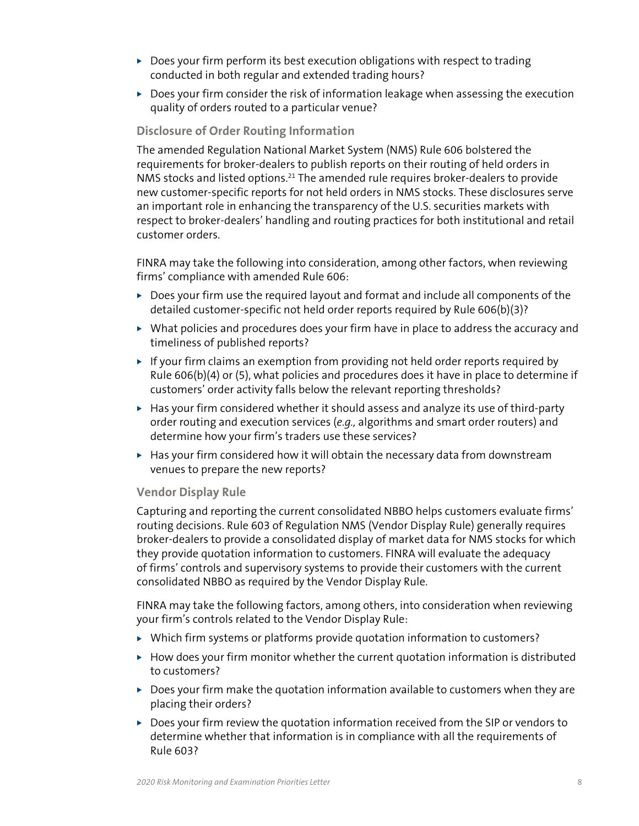- $\triangleright$  Does your firm perform its best execution obligations with respect to trading conducted in both regular and extended trading hours?
- $\triangleright$  Does your firm consider the risk of information leakage when assessing the execution quality of orders routed to a particular venue?

# **Disclosure of Order Routing Information**

The amended Regulation National Market System (NMS) Rule 606 bolstered the requirements for broker-dealers to publish reports on their routing of held orders in NMS stocks and listed options.<sup>21</sup> The amended rule requires broker-dealers to provide new customer-specific reports for not held orders in NMS stocks. These disclosures serve an important role in enhancing the transparency of the U.S. securities markets with respect to broker-dealers' handling and routing practices for both institutional and retail customer orders.

FINRA may take the following into consideration, among other factors, when reviewing firms' compliance with amended Rule 606:

- $\triangleright$  Does your firm use the required layout and format and include all components of the detailed customer-specific not held order reports required by Rule 606(b)(3)?
- $\triangleright$  What policies and procedures does your firm have in place to address the accuracy and timeliness of published reports?
- $\triangleright$  If your firm claims an exemption from providing not held order reports required by Rule 606(b)(4) or (5), what policies and procedures does it have in place to determine if customers' order activity falls below the relevant reporting thresholds?
- $\blacktriangleright$  Has your firm considered whether it should assess and analyze its use of third-party order routing and execution services (*e.g.,* algorithms and smart order routers) and determine how your firm's traders use these services?
- $\blacktriangleright$  Has your firm considered how it will obtain the necessary data from downstream venues to prepare the new reports?

# **Vendor Display Rule**

Capturing and reporting the current consolidated NBBO helps customers evaluate firms' routing decisions. Rule 603 of Regulation NMS (Vendor Display Rule) generally requires broker-dealers to provide a consolidated display of market data for NMS stocks for which they provide quotation information to customers. FINRA will evaluate the adequacy of firms' controls and supervisory systems to provide their customers with the current consolidated NBBO as required by the Vendor Display Rule.

FINRA may take the following factors, among others, into consideration when reviewing your firm's controls related to the Vendor Display Rule:

- $\triangleright$  Which firm systems or platforms provide quotation information to customers?
- $\blacktriangleright$  How does your firm monitor whether the current quotation information is distributed to customers?
- $\triangleright$  Does your firm make the quotation information available to customers when they are placing their orders?
- $\triangleright$  Does your firm review the quotation information received from the SIP or vendors to determine whether that information is in compliance with all the requirements of Rule 603?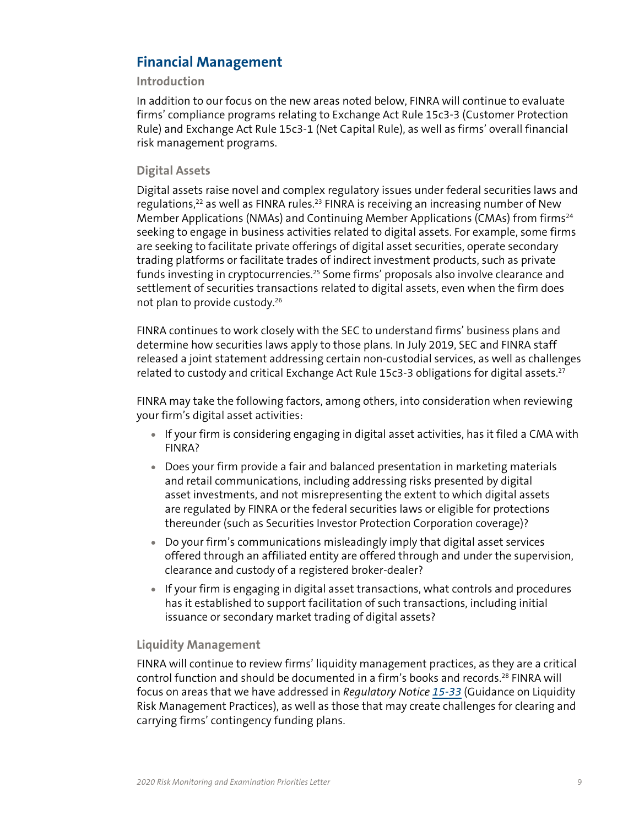# <span id="page-8-0"></span>**Financial Management**

# **Introduction**

In addition to our focus on the new areas noted below, FINRA will continue to evaluate firms' compliance programs relating to Exchange Act Rule 15c3-3 (Customer Protection Rule) and Exchange Act Rule 15c3-1 (Net Capital Rule), as well as firms' overall financial risk management programs.

# **Digital Assets**

Digital assets raise novel and complex regulatory issues under federal securities laws and regulations,<sup>22</sup> as well as FINRA rules.<sup>23</sup> FINRA is receiving an increasing number of New Member Applications (NMAs) and Continuing Member Applications (CMAs) from firms<sup>24</sup> seeking to engage in business activities related to digital assets. For example, some firms are seeking to facilitate private offerings of digital asset securities, operate secondary trading platforms or facilitate trades of indirect investment products, such as private funds investing in cryptocurrencies.<sup>25</sup> Some firms' proposals also involve clearance and settlement of securities transactions related to digital assets, even when the firm does not plan to provide custody.26

FINRA continues to work closely with the SEC to understand firms' business plans and determine how securities laws apply to those plans. In July 2019, SEC and FINRA staff released a joint statement addressing certain non-custodial services, as well as challenges related to custody and critical Exchange Act Rule 15c3-3 obligations for digital assets.<sup>27</sup>

FINRA may take the following factors, among others, into consideration when reviewing your firm's digital asset activities:

- If your firm is considering engaging in digital asset activities, has it filed a CMA with FINRA?
- Does your firm provide a fair and balanced presentation in marketing materials and retail communications, including addressing risks presented by digital asset investments, and not misrepresenting the extent to which digital assets are regulated by FINRA or the federal securities laws or eligible for protections thereunder (such as Securities Investor Protection Corporation coverage)?
- Do your firm's communications misleadingly imply that digital asset services offered through an affiliated entity are offered through and under the supervision, clearance and custody of a registered broker-dealer?
- If your firm is engaging in digital asset transactions, what controls and procedures has it established to support facilitation of such transactions, including initial issuance or secondary market trading of digital assets?

# **Liquidity Management**

FINRA will continue to review firms' liquidity management practices, as they are a critical control function and should be documented in a firm's books and records.<sup>28</sup> FINRA will focus on areas that we have addressed in *Regulatory Notice [15-33](https://www.finra.org/rules-guidance/notices/15-33)* (Guidance on Liquidity Risk Management Practices), as well as those that may create challenges for clearing and carrying firms' contingency funding plans.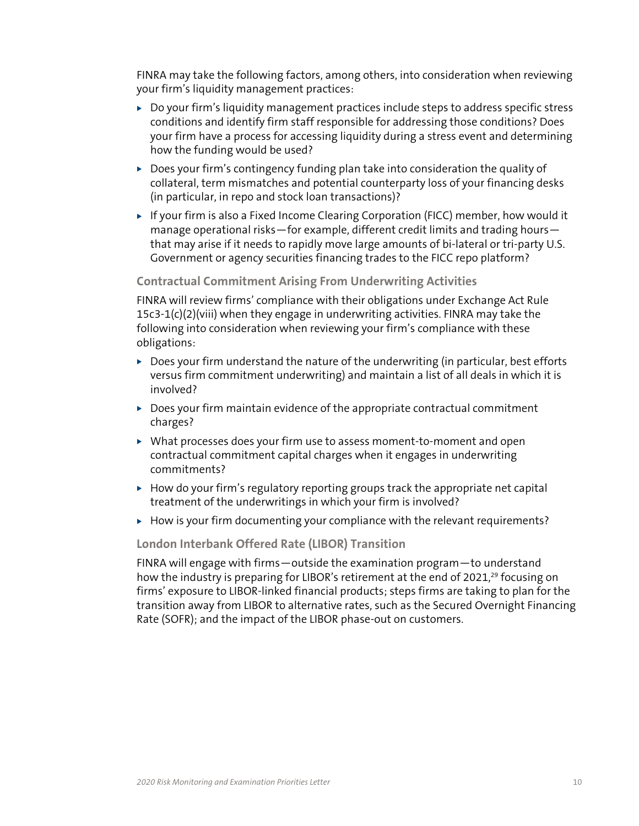<span id="page-9-0"></span>FINRA may take the following factors, among others, into consideration when reviewing your firm's liquidity management practices:

- $\triangleright$  Do your firm's liquidity management practices include steps to address specific stress conditions and identify firm staff responsible for addressing those conditions? Does your firm have a process for accessing liquidity during a stress event and determining how the funding would be used?
- $\triangleright$  Does your firm's contingency funding plan take into consideration the quality of collateral, term mismatches and potential counterparty loss of your financing desks (in particular, in repo and stock loan transactions)?
- $\triangleright$  If your firm is also a Fixed Income Clearing Corporation (FICC) member, how would it manage operational risks—for example, different credit limits and trading hours that may arise if it needs to rapidly move large amounts of bi-lateral or tri-party U.S. Government or agency securities financing trades to the FICC repo platform?

# **Contractual Commitment Arising From Underwriting Activities**

FINRA will review firms' compliance with their obligations under Exchange Act Rule  $15c3-1(c)(2)(viii)$  when they engage in underwriting activities. FINRA may take the following into consideration when reviewing your firm's compliance with these obligations:

- $\triangleright$  Does your firm understand the nature of the underwriting (in particular, best efforts versus firm commitment underwriting) and maintain a list of all deals in which it is involved?
- $\triangleright$  Does your firm maintain evidence of the appropriate contractual commitment charges?
- $\triangleright$  What processes does your firm use to assess moment-to-moment and open contractual commitment capital charges when it engages in underwriting commitments?
- $\blacktriangleright$  How do your firm's regulatory reporting groups track the appropriate net capital treatment of the underwritings in which your firm is involved?
- $\blacktriangleright$  How is your firm documenting your compliance with the relevant requirements?

# **London Interbank Offered Rate (LIBOR) Transition**

FINRA will engage with firms—outside the examination program—to understand how the industry is preparing for LIBOR's retirement at the end of 2021,<sup>29</sup> focusing on firms' exposure to LIBOR-linked financial products; steps firms are taking to plan for the transition away from LIBOR to alternative rates, such as the Secured Overnight Financing Rate (SOFR); and the impact of the LIBOR phase-out on customers.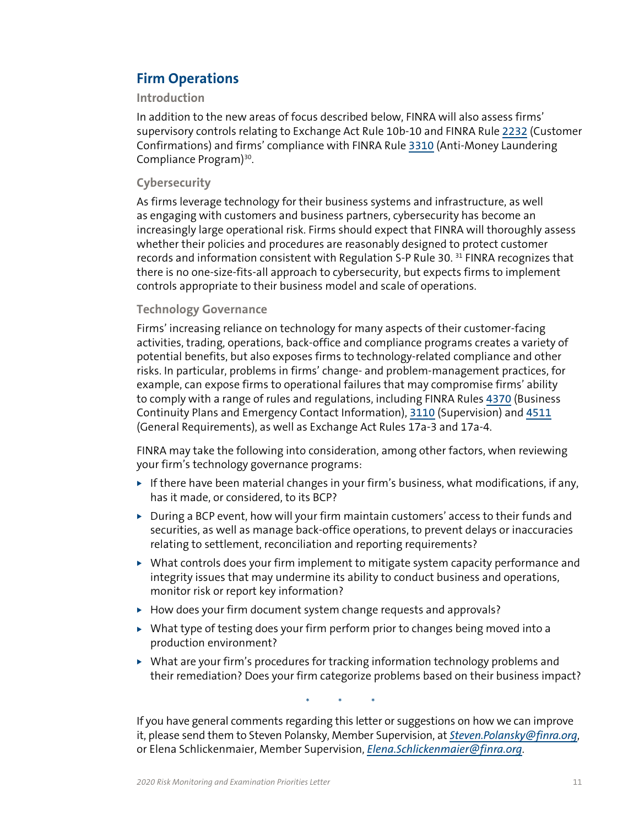# **Firm Operations**

# **Introduction**

In addition to the new areas of focus described below, FINRA will also assess firms' supervisory controls relating to Exchange Act Rule 10b-10 and FINRA Rule [2232](https://www.finra.org/rules-guidance/rulebooks/finra-rules/2232) (Customer Confirmations) and firms' compliance with FINRA Rule [3310](https://www.finra.org/rules-guidance/rulebooks/finra-rules/3310) (Anti-Money Laundering Compliance Program)30.

# **Cybersecurity**

As firms leverage technology for their business systems and infrastructure, as well as engaging with customers and business partners, cybersecurity has become an increasingly large operational risk. Firms should expect that FINRA will thoroughly assess whether their policies and procedures are reasonably designed to protect customer records and information consistent with Regulation S-P Rule 30.<sup>31</sup> FINRA recognizes that there is no one-size-fits-all approach to cybersecurity, but expects firms to implement controls appropriate to their business model and scale of operations.

# **Technology Governance**

Firms' increasing reliance on technology for many aspects of their customer-facing activities, trading, operations, back-office and compliance programs creates a variety of potential benefits, but also exposes firms to technology-related compliance and other risks. In particular, problems in firms' change- and problem-management practices, for example, can expose firms to operational failures that may compromise firms' ability to comply with a range of rules and regulations, including FINRA Rules [4370](https://www.finra.org/rules-guidance/rulebooks/finra-rules/4370) (Business Continuity Plans and Emergency Contact Information), [3110](https://www.finra.org/rules-guidance/rulebooks/finra-rules/3110) (Supervision) and [4511](https://www.finra.org/rules-guidance/rulebooks/finra-rules/4511) (General Requirements), as well as Exchange Act Rules 17a-3 and 17a-4.

FINRA may take the following into consideration, among other factors, when reviewing your firm's technology governance programs:

- If there have been material changes in your firm's business, what modifications, if any, has it made, or considered, to its BCP?
- $\triangleright$  During a BCP event, how will your firm maintain customers' access to their funds and securities, as well as manage back-office operations, to prevent delays or inaccuracies relating to settlement, reconciliation and reporting requirements?
- $\triangleright$  What controls does your firm implement to mitigate system capacity performance and integrity issues that may undermine its ability to conduct business and operations, monitor risk or report key information?
- $\blacktriangleright$  How does your firm document system change requests and approvals?
- $\triangleright$  What type of testing does your firm perform prior to changes being moved into a production environment?
- $\triangleright$  What are your firm's procedures for tracking information technology problems and their remediation? Does your firm categorize problems based on their business impact?

\* \* \*

If you have general comments regarding this letter or suggestions on how we can improve it, please send them to Steven Polansky, Member Supervision, at *[Steven.Polansky@finra.org](mailto:Steven.Polansky@finra.org)*, or Elena Schlickenmaier, Member Supervision, *[Elena.Schlickenmaier@finra.org](mailto:Elena.Schlickenmaier@finra.org)*.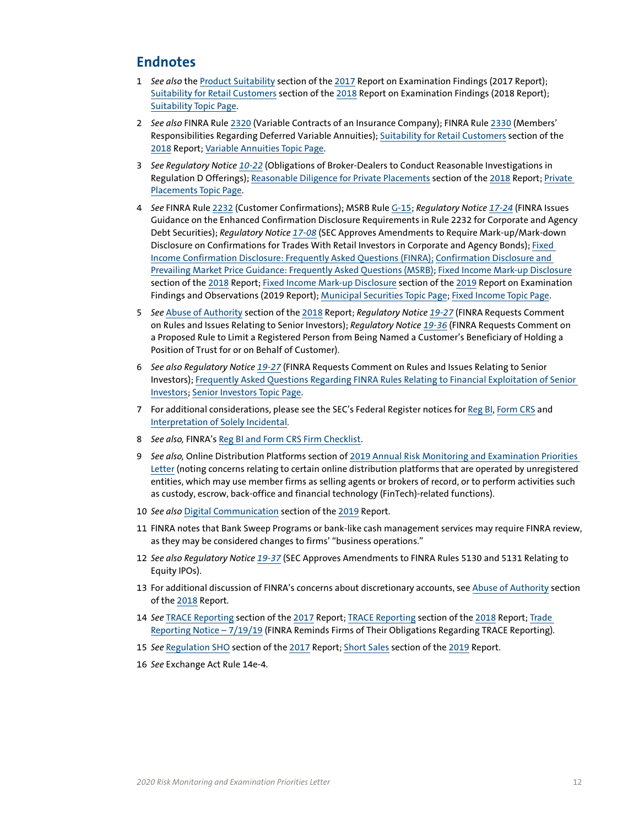# <span id="page-11-0"></span>**Endnotes**

- 1 *See also* the [Product Suitability](https://www.finra.org/rules-guidance/guidance/reports/2017-report-exam-findings/product-suitability) section of the [2017](https://www.finra.org/rules-guidance/guidance/reports/2017-report-exam-findings) Report on Examination Findings (2017 Report); [Suitability for Retail Customers](https://www.finra.org/rules-guidance/guidance/reports/2018-report-exam-findings/suitability-retail-customers) section of the [2018](https://www.finra.org/rules-guidance/guidance/reports/2018-report-exam-findings) Report on Examination Findings (2018 Report); [Suitability Topic Page.](https://www.finra.org/rules-guidance/key-topics/suitability)
- 2 *See also* FINRA Rule [2320](https://www.finra.org/rules-guidance/rulebooks/finra-rules/2320) (Variable Contracts of an Insurance Company); FINRA Rule [2330](https://www.finra.org/rules-guidance/rulebooks/finra-rules/2330) (Members' Responsibilities Regarding Deferred Variable Annuities); [Suitability for Retail Customers](https://www.finra.org/rules-guidance/guidance/reports/2018-report-exam-findings/suitability-retail-customers) section of the [2018](https://www.finra.org/rules-guidance/guidance/reports/2018-report-exam-findings) Report; [Variable Annuities Topic Page](https://www.finra.org/rules-guidance/key-topics/variable-annuities).
- 3 *See Regulatory Notice [10-22](https://www.finra.org/rules-guidance/notices/10-22)* (Obligations of Broker-Dealers to Conduct Reasonable Investigations in Regulation D Offerings); [Reasonable Diligence for Private Placements](https://www.finra.org/rules-guidance/guidance/reports/2018-report-exam-findings/reasonable-diligence-private-placements) section of the [2018](https://www.finra.org/rules-guidance/guidance/reports/2018-report-exam-findings) Report; [Private](https://www.finra.org/rules-guidance/key-topics/private-placements)  [Placements Topic Page.](https://www.finra.org/rules-guidance/key-topics/private-placements)
- 4 *See* FINRA Rule [2232](https://www.finra.org/rules-guidance/rulebooks/finra-rules/2232) (Customer Confirmations); MSRB Rule [G-15](http://www.msrb.org/Rules-and-Interpretations/MSRB-Rules/General/Rule-G-15.aspx?tab=2); *Regulatory Notice [17-24](https://www.finra.org/rules-guidance/notices/17-24)* (FINRA Issues Guidance on the Enhanced Confirmation Disclosure Requirements in Rule 2232 for Corporate and Agency Debt Securities); *Regulatory Notice [17-08](https://www.finra.org/rules-guidance/notices/17-08)* (SEC Approves Amendments to Require Mark-up/Mark-down Disclosure on Confirmations for Trades With Retail Investors in Corporate and Agency Bonds); [Fixed](https://www.finra.org/industry/faq-fixed-income-confirmation-disclosure-frequently-asked-questions-faq)  [Income Confirmation Disclosure: Frequently Asked Questions \(FINRA\)](https://www.finra.org/industry/faq-fixed-income-confirmation-disclosure-frequently-asked-questions-faq); [Confirmation Disclosure and](http://www.msrb.org/Rules-and-Interpretations/MSRB-Rules/General/Rule-G-15.aspx?tab=2#_91AE65EA-659C-4E93-BC18-F8666C98B16D)  [Prevailing Market Price Guidance: Frequently Asked Questions \(MSRB\);](http://www.msrb.org/Rules-and-Interpretations/MSRB-Rules/General/Rule-G-15.aspx?tab=2#_91AE65EA-659C-4E93-BC18-F8666C98B16D) [Fixed Income Mark-up Disclosure](https://www.finra.org/rules-guidance/guidance/reports/2018-report-exam-findings/fixed-income-mark-disclosure) section of the [2018](https://www.finra.org/rules-guidance/guidance/reports/2018-report-exam-findings) Report; [Fixed Income Mark-up Disclosure](https://www.finra.org/rules-guidance/guidance/reports/2019-report-exam-findings-and-observations/fixed-income-mark-up-disclosure) section of the [2019](https://www.finra.org/rules-guidance/guidance/reports/2019-report-exam-findings-and-observations) Report on Examination Findings and Observations (2019 Report); [Municipal Securities Topic Page;](http://www.finra.org/industry/municipal-securities) [Fixed Income Topic Page.](http://www.finra.org/industry/fixed-income)
- 5 *See* [Abuse of Authority](https://www.finra.org/rules-guidance/guidance/reports/2018-report-exam-findings/abuse-authority) section of the [2018](https://www.finra.org/rules-guidance/guidance/reports/2018-report-exam-findings/abuse-authority) Report; *Regulatory Notice [19-27](https://www.finra.org/rules-guidance/notices/19-27)* (FINRA Requests Comment on Rules and Issues Relating to Senior Investors); *Regulatory Notice [19-36](https://www.finra.org/rules-guidance/notices/19-36)* (FINRA Requests Comment on a Proposed Rule to Limit a Registered Person from Being Named a Customer's Beneficiary of Holding a Position of Trust for or on Behalf of Customer).
- 6 *See also Regulatory Notice [19-27](https://www.finra.org/rules-guidance/notices/19-27)* (FINRA Requests Comment on Rules and Issues Relating to Senior Investors); [Frequently Asked Questions Regarding FINRA Rules Relating to Financial Exploitation of Senior](https://www.finra.org/rules-guidance/guidance/faqs/frequently-asked-questions-regarding-finra-rules-relating-financial-exploitation-seniors)  [Investors;](https://www.finra.org/rules-guidance/guidance/faqs/frequently-asked-questions-regarding-finra-rules-relating-financial-exploitation-seniors) [Senior Investors Topic Page.](https://www.finra.org/rules-guidance/key-topics/senior-investors)
- 7 For additional considerations, please see the SEC's Federal Register notices for [Reg BI](https://www.sec.gov/rules/final/2019/34-86031.pdf), [Form CRS](https://www.sec.gov/rules/final/2019/34-86032.pdf) and [Interpretation of Solely Incidental](https://www.sec.gov/rules/interp/2019/ia-5249.pdf).
- 8 *See also,* FINRA's [Reg BI and Form CRS Firm Checklist.](https://www.finra.org/sites/default/files/2019-10/reg-bi-checklist.pdf)
- 9 *See also,* Online Distribution Platforms section of [2019 Annual Risk Monitoring and Examination Priorities](https://www.finra.org/rules-guidance/communications-firms/2019-annual-risk-monitoring-and-examination-priorities-letter)  [Letter](https://www.finra.org/rules-guidance/communications-firms/2019-annual-risk-monitoring-and-examination-priorities-letter) (noting concerns relating to certain online distribution platforms that are operated by unregistered entities, which may use member firms as selling agents or brokers of record, or to perform activities such as custody, escrow, back-office and financial technology (FinTech)-related functions).
- 10 *See also* [Digital Communication](https://www.finra.org/rules-guidance/guidance/reports/2019-report-exam-findings-and-observations/digital-communication) section of the [2019](https://www.finra.org/rules-guidance/guidance/reports/2019-report-exam-findings-and-observations) Report.
- 11 FINRA notes that Bank Sweep Programs or bank-like cash management services may require FINRA review, as they may be considered changes to firms' "business operations."
- 12 *See also Regulatory Notice [19-37](https://www.finra.org/rules-guidance/notices/19-37)* (SEC Approves Amendments to FINRA Rules 5130 and 5131 Relating to Equity IPOs).
- 13 For additional discussion of FINRA's concerns about discretionary accounts, see [Abuse of Authority](https://www.finra.org/rules-guidance/guidance/reports/2018-report-exam-findings/abuse-authority) section of the [2018](https://www.finra.org/rules-guidance/guidance/reports/2018-report-exam-findings) Report.
- 14 *See* [TRACE Reporting](https://www.finra.org/rules-guidance/guidance/reports/2017-report-exam-findings/trace-reporting) section of the [2017](https://www.finra.org/rules-guidance/guidance/reports/2017-report-exam-findings) Report; [TRACE Reporting](https://www.finra.org/rules-guidance/guidance/reports/2018-report-exam-findings/trace-reporting-0) section of the [2018](https://www.finra.org/rules-guidance/guidance/reports/2018-report-exam-findings) Report; [Trade](https://www.finra.org/rules-guidance/notices/trade-reporting-notice-071919)  [Reporting Notice – 7/19/19](https://www.finra.org/rules-guidance/notices/trade-reporting-notice-071919) (FINRA Reminds Firms of Their Obligations Regarding TRACE Reporting).
- 15 *See* [Regulation SHO](https://www.finra.org/rules-guidance/guidance/reports/2017-report-exam-findings/regulation-sho) section of the [2017](https://www.finra.org/rules-guidance/guidance/reports/2017-report-exam-findings) Report; [Short Sales](https://www.finra.org/rules-guidance/guidance/reports/2019-report-exam-findings-and-observations/short-sales) section of the [2019](https://www.finra.org/rules-guidance/guidance/reports/2019-report-exam-findings-and-observations) Report.
- 16 *See* Exchange Act Rule 14e-4.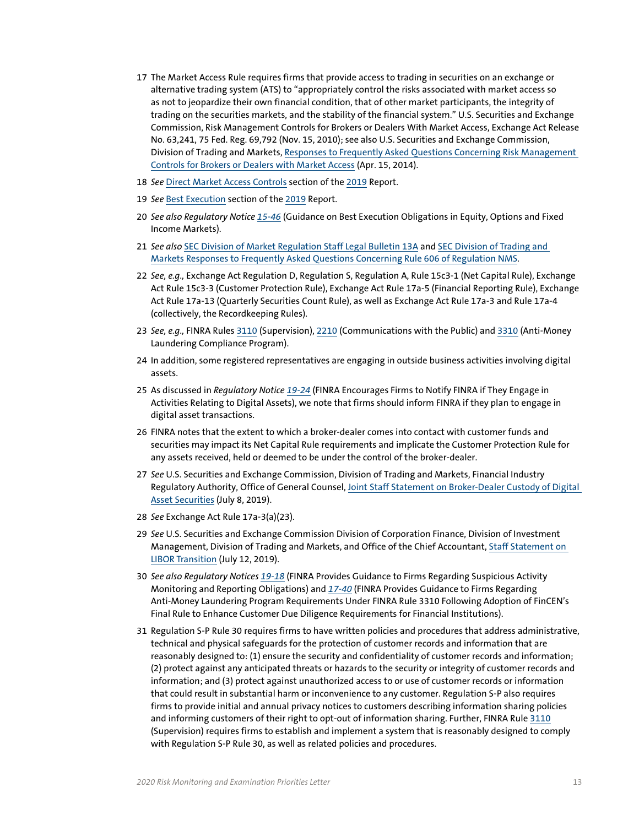- 17 The Market Access Rule requires firms that provide access to trading in securities on an exchange or alternative trading system (ATS) to "appropriately control the risks associated with market access so as not to jeopardize their own financial condition, that of other market participants, the integrity of trading on the securities markets, and the stability of the financial system." U.S. Securities and Exchange Commission, Risk Management Controls for Brokers or Dealers With Market Access, Exchange Act Release No. 63,241, 75 Fed. Reg. 69,792 (Nov. 15, 2010); see also U.S. Securities and Exchange Commission, Division of Trading and Markets, [Responses to Frequently Asked Questions Concerning Risk Management](https://www.sec.gov/divisions/marketreg/faq-15c-5-risk-management-controls-bd.htm)  [Controls for Brokers or Dealers with Market Access](https://www.sec.gov/divisions/marketreg/faq-15c-5-risk-management-controls-bd.htm) (Apr. 15, 2014).
- 18 *See* [Direct Market Access Controls](https://www.finra.org/rules-guidance/guidance/reports/2019-report-exam-findings-and-observations/direct-market-access-controls) section of the [2019](https://www.finra.org/rules-guidance/guidance/reports/2019-report-exam-findings-and-observations) Report.
- 19 *See* [Best Execution](https://www.finra.org/rules-guidance/guidance/reports/2019-report-exam-findings-and-observations/best-execution) section of the [2019](https://www.finra.org/rules-guidance/guidance/reports/2019-report-exam-findings-and-observations) Report.
- 20 *See also Regulatory Notice [15-46](http://www.finra.org/industry/notices/15-46)* (Guidance on Best Execution Obligations in Equity, Options and Fixed Income Markets).
- 21 *See also* [SEC Division of Market Regulation Staff Legal Bulletin 13A](https://www.sec.gov/interps/legal/mrslb13a.htm) and [SEC Division of Trading and](https://www.sec.gov/tm/faq-rule-606-regulation-nms)  [Markets Responses to Frequently Asked Questions Concerning Rule 606 of Regulation NMS.](https://www.sec.gov/tm/faq-rule-606-regulation-nms)
- 22 *See, e.g.,* Exchange Act Regulation D, Regulation S, Regulation A, Rule 15c3-1 (Net Capital Rule), Exchange Act Rule 15c3-3 (Customer Protection Rule), Exchange Act Rule 17a-5 (Financial Reporting Rule), Exchange Act Rule 17a-13 (Quarterly Securities Count Rule), as well as Exchange Act Rule 17a-3 and Rule 17a-4 (collectively, the Recordkeeping Rules).
- 23 *See, e.g.,* FINRA Rules [3110](https://www.finra.org/rules-guidance/rulebooks/finra-rules/3110) (Supervision), [2210](https://www.finra.org/rules-guidance/rulebooks/finra-rules/2210) (Communications with the Public) and [3310](https://www.finra.org/rules-guidance/rulebooks/finra-rules/3310) (Anti-Money Laundering Compliance Program).
- 24 In addition, some registered representatives are engaging in outside business activities involving digital assets.
- 25 As discussed in *Regulatory Notice [19-24](https://www.finra.org/rules-guidance/notices/19-24)* (FINRA Encourages Firms to Notify FINRA if They Engage in Activities Relating to Digital Assets), we note that firms should inform FINRA if they plan to engage in digital asset transactions.
- 26 FINRA notes that the extent to which a broker-dealer comes into contact with customer funds and securities may impact its Net Capital Rule requirements and implicate the Customer Protection Rule for any assets received, held or deemed to be under the control of the broker-dealer.
- 27 *See* U.S. Securities and Exchange Commission, Division of Trading and Markets, Financial Industry Regulatory Authority, Office of General Counsel[, Joint Staff Statement on Broker-Dealer Custody of Digital](https://www.sec.gov/news/public-statement/joint-staff-statement-broker-dealer-custody-digital-asset-securities)  [Asset Securities](https://www.sec.gov/news/public-statement/joint-staff-statement-broker-dealer-custody-digital-asset-securities) (July 8, 2019).
- 28 *See* Exchange Act Rule 17a-3(a)(23).
- 29 *See* U.S. Securities and Exchange Commission Division of Corporation Finance, Division of Investment Management, Division of Trading and Markets, and Office of the Chief Accountant, [Staff Statement on](https://www.sec.gov/news/public-statement/libor-transition)  [LIBOR Transition](https://www.sec.gov/news/public-statement/libor-transition) (July 12, 2019).
- 30 *See also Regulatory Notices [19-18](https://www.finra.org/rules-guidance/notices/19-18)* (FINRA Provides Guidance to Firms Regarding Suspicious Activity Monitoring and Reporting Obligations) and *[17-40](https://www.finra.org/rules-guidance/notices/17-40)* (FINRA Provides Guidance to Firms Regarding Anti-Money Laundering Program Requirements Under FINRA Rule 3310 Following Adoption of FinCEN's Final Rule to Enhance Customer Due Diligence Requirements for Financial Institutions).
- 31 Regulation S-P Rule 30 requires firms to have written policies and procedures that address administrative, technical and physical safeguards for the protection of customer records and information that are reasonably designed to: (1) ensure the security and confidentiality of customer records and information; (2) protect against any anticipated threats or hazards to the security or integrity of customer records and information; and (3) protect against unauthorized access to or use of customer records or information that could result in substantial harm or inconvenience to any customer. Regulation S-P also requires firms to provide initial and annual privacy notices to customers describing information sharing policies and informing customers of their right to opt-out of information sharing. Further, FINRA Rule [3110](https://www.finra.org/rules-guidance/rulebooks/finra-rules/3110) (Supervision) requires firms to establish and implement a system that is reasonably designed to comply with Regulation S-P Rule 30, as well as related policies and procedures.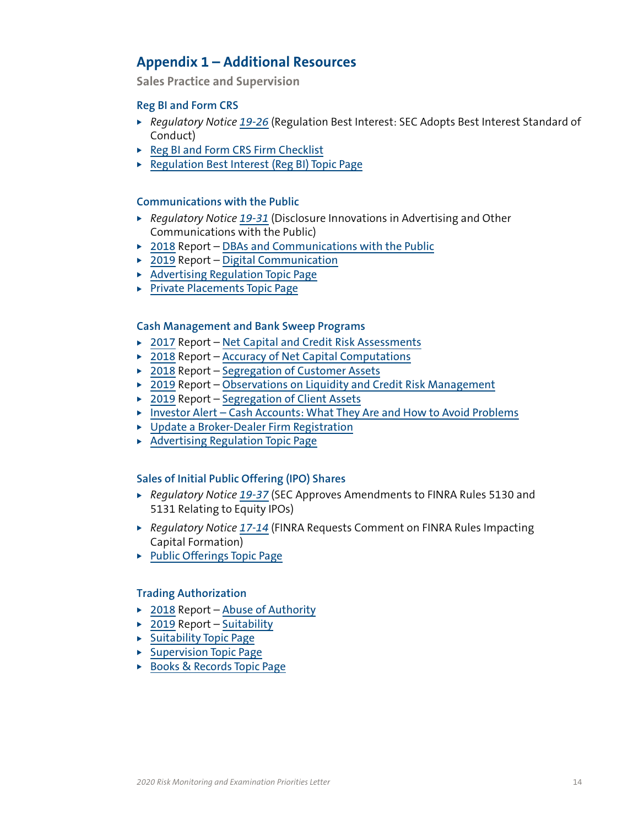# <span id="page-13-0"></span>**Appendix 1 – Additional Resources**

**Sales Practice and Supervision**

# **Reg BI and Form CRS**

- ▶ *Regulatory Notice [19-26](https://www.finra.org/rules-guidance/notices/19-26)* (Regulation Best Interest: SEC Adopts Best Interest Standard of Conduct)
- [Reg BI and Form CRS Firm Checklist](https://www.finra.org/sites/default/files/2019-10/reg-bi-checklist.pdf)
- ▶ [Regulation Best Interest \(Reg BI\) Topic Page](https://www.finra.org/rules-guidance/key-topics/regulation-best-interest)

# **Communications with the Public**

- ▶ *Regulatory Notice [19-31](https://www.finra.org/rules-guidance/notices/19-31)* (Disclosure Innovations in Advertising and Other Communications with the Public)
- $\rightarrow$  [2018](https://www.finra.org/rules-guidance/guidance/reports/2018-report-exam-findings) Report [DBAs and Communications with the Public](https://www.finra.org/rules-guidance/guidance/reports/2018-report-exam-findings/dbas-and-communications-public)
- $\rightarrow$  [2019](https://www.finra.org/rules-guidance/guidance/reports/2019-report-exam-findings-and-observations) Report [Digital Communication](https://www.finra.org/rules-guidance/guidance/reports/2019-report-exam-findings-and-observations/digital-communication)
- $\blacktriangleright$  [Advertising Regulation Topic Page](https://www.finra.org/rules-guidance/key-topics/advertising-regulation)
- $\triangleright$  [Private Placements Topic Page](https://www.finra.org/rules-guidance/key-topics/private-placements)

# **Cash Management and Bank Sweep Programs**

- $\rightarrow$  [2017](https://www.finra.org/rules-guidance/guidance/reports/2017-report-exam-findings) Report [Net Capital and Credit Risk Assessments](https://www.finra.org/rules-guidance/guidance/reports/2017-report-exam-findings/net-capital-and-credit-risk-assessments)
- $\rightarrow$  [2018](https://www.finra.org/rules-guidance/guidance/reports/2018-report-exam-findings) Report [Accuracy of Net Capital Computations](https://www.finra.org/rules-guidance/guidance/reports/2018-report-exam-findings/accuracy-net-capital-computations)
- $\rightarrow$  [2018](https://www.finra.org/rules-guidance/guidance/reports/2018-report-exam-findings) Report [Segregation of Customer Assets](https://www.finra.org/rules-guidance/guidance/reports/2018-report-exam-findings/segregation-client-assets)
- $\rightarrow$  [2019](https://www.finra.org/rules-guidance/guidance/reports/2019-report-exam-findings-and-observations) Report [Observations on Liquidity and Credit Risk Management](https://www.finra.org/rules-guidance/guidance/reports/2019-report-exam-findings-and-observations/liquidity-and-credit-risk-management)
- $\rightarrow$  [2019](https://www.finra.org/rules-guidance/guidance/reports/2019-report-exam-findings-and-observations) Report [Segregation of Client Assets](https://www.finra.org/rules-guidance/guidance/reports/2019-report-exam-findings-and-observations/segregation-client-assets)
- ▶ [Investor Alert Cash Accounts: What They Are and How to Avoid Problems](https://www.finra.org/investors/insights/cash-accounts-what-they-are-and-how-avoid-problems)
- $\triangleright$  [Update a Broker-Dealer Firm Registration](https://www.finra.org/registration-exams-ce/broker-dealers/update-broker-dealer-firm-registration)
- $\blacktriangleright$  [Advertising Regulation Topic Page](https://www.finra.org/rules-guidance/key-topics/advertising-regulation)

# **Sales of Initial Public Offering (IPO) Shares**

- ▶ *Regulatory Notice [19-37](https://www.finra.org/rules-guidance/notices/19-37)* (SEC Approves Amendments to FINRA Rules 5130 and 5131 Relating to Equity IPOs)
- ▶ *Regulatory Notice [17-14](https://www.finra.org/rules-guidance/notices/17-14)* (FINRA Requests Comment on FINRA Rules Impacting Capital Formation)
- $\blacktriangleright$  [Public Offerings Topic Page](https://www.finra.org/rules-guidance/key-topics/public-offerings)

# **Trading Authorization**

- $\rightarrow$  [2018](https://www.finra.org/rules-guidance/guidance/reports/2018-report-exam-findings) Report [Abuse of Authority](https://www.finra.org/rules-guidance/guidance/reports/2018-report-exam-findings/abuse-authority)
- $\triangleright$  [2019](https://www.finra.org/rules-guidance/guidance/reports/2019-report-exam-findings-and-observations) Report [Suitability](https://www.finra.org/rules-guidance/guidance/reports/2019-report-exam-findings-and-observations/suitability)
- $\triangleright$  [Suitability Topic Page](https://www.finra.org/rules-guidance/key-topics/suitability)
- $\triangleright$  [Supervision Topic Page](https://www.finra.org/rules-guidance/key-topics/supervision)
- ▶ [Books & Records Topic Page](https://www.finra.org/rules-guidance/key-topics/books-records)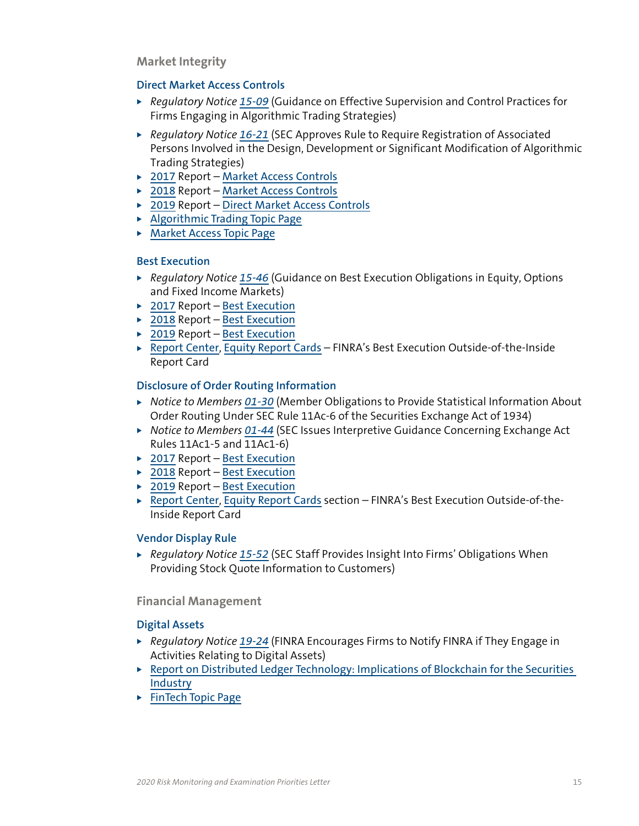**Market Integrity**

# **Direct Market Access Controls**

- ▶ *Regulatory Notice [15-09](http://www.finra.org/industry/notices/15-09)* (Guidance on Effective Supervision and Control Practices for Firms Engaging in Algorithmic Trading Strategies)
- ▶ *Regulatory Notice [16-21](https://www.finra.org/rules-guidance/notices/16-21)* (SEC Approves Rule to Require Registration of Associated Persons Involved in the Design, Development or Significant Modification of Algorithmic Trading Strategies)
- ▶ [2017](http://www.finra.org/industry/2017-report-exam-findings) Report [Market Access Controls](https://www.finra.org/rules-guidance/guidance/reports/2017-report-exam-findings/market-access-controls)
- $\rightarrow$  [2018](http://www.finra.org/industry/2018-report-exam-findings/) Report [Market Access Controls](https://www.finra.org/rules-guidance/guidance/reports/2018-report-exam-findings/market-access-controls-0)
- ▶ [2019](https://www.finra.org/rules-guidance/guidance/reports/2019-report-exam-findings-and-observations) Report [Direct Market Access Controls](https://www.finra.org/rules-guidance/guidance/reports/2019-report-exam-findings-and-observations/direct-market-access-controls)
- $\blacktriangleright$  [Algorithmic Trading Topic Page](http://www.finra.org/industry/algorithmic-trading)
- ▶ [Market Access Topic Page](http://www.finra.org/industry/market-access)

# **Best Execution**

- ▶ *Regulatory Notice [15-46](http://www.finra.org/industry/notices/15-46)* (Guidance on Best Execution Obligations in Equity, Options and Fixed Income Markets)
- $\rightarrow$  [2017](http://www.finra.org/industry/2017-report-exam-findings) Report [Best Execution](http://www.finra.org/industry/2017-report-exam-findings/best-execution)
- $\rightarrow$  [2018](http://www.finra.org/industry/2018-report-exam-findings/) Report [Best Execution](http://www.finra.org/industry/2018-report-exam-findings/best-execution)
- $\rightarrow$  [2019](https://www.finra.org/rules-guidance/guidance/reports/2019-report-exam-findings-and-observations) Report [Best Execution](https://www.finra.org/rules-guidance/guidance/reports/2019-report-exam-findings-and-observations/best-execution)
- ▶ [Report Center](https://www.finra.org/industry/report-center), [Equity Report Cards](https://www.finra.org/industry/equity-report-cards) FINRA's Best Execution Outside-of-the-Inside Report Card

# **Disclosure of Order Routing Information**

- <sup>X</sup> *Notice to Members [01-30](https://www.finra.org/rules-guidance/notices/01-30)* (Member Obligations to Provide Statistical Information About Order Routing Under SEC Rule 11Ac-6 of the Securities Exchange Act of 1934)
- ▶ *Notice to Members [01-44](https://www.finra.org/rules-guidance/notices/01-44)* (SEC Issues Interpretive Guidance Concerning Exchange Act Rules 11Ac1-5 and 11Ac1-6)
- $\rightarrow$  [2017](http://www.finra.org/industry/2017-report-exam-findings) Report [Best Execution](http://www.finra.org/industry/2017-report-exam-findings/best-execution)
- $\rightarrow$  [2018](http://www.finra.org/industry/2018-report-exam-findings/) Report [Best Execution](http://www.finra.org/industry/2018-report-exam-findings/best-execution)
- $\rightarrow$  [2019](https://www.finra.org/rules-guidance/guidance/reports/2019-report-exam-findings-and-observations) Report [Best Execution](https://www.finra.org/rules-guidance/guidance/reports/2019-report-exam-findings-and-observations/best-execution)
- ▶ [Report Center](https://www.finra.org/industry/report-center), [Equity Report Cards](https://www.finra.org/industry/equity-report-cards) section FINRA's Best Execution Outside-of-the-Inside Report Card

# **Vendor Display Rule**

▶ *Regulatory Notice [15-52](https://www.finra.org/rules-guidance/notices/15-52)* (SEC Staff Provides Insight Into Firms' Obligations When Providing Stock Quote Information to Customers)

**Financial Management**

# **Digital Assets**

- ▶ *Regulatory Notice [19-24](https://www.finra.org/rules-guidance/notices/19-24)* (FINRA Encourages Firms to Notify FINRA if They Engage in Activities Relating to Digital Assets)
- $\triangleright$  Report on Distributed Ledger Technology: Implications of Blockchain for the Securities [Industry](https://www.finra.org/rules-guidance/guidance/faqs/report-distributed-ledger-technology-implications-blockchain-securities-industry)
- $\blacktriangleright$  [FinTech Topic Page](https://www.finra.org/rules-guidance/key-topics/fintech)